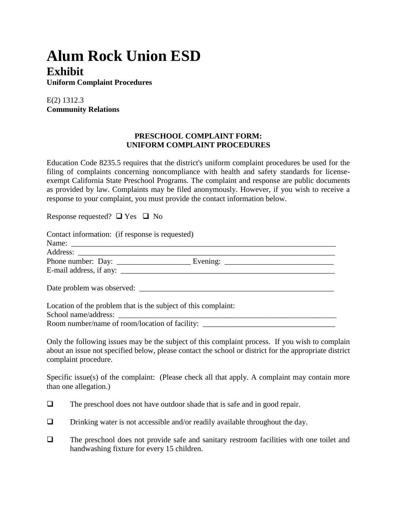## **Alum Rock Union ESD Exhibit**

**Uniform Complaint Procedures**

E(2) 1312.3 **Community Relations**

## **PRESCHOOL COMPLAINT FORM: UNIFORM COMPLAINT PROCEDURES**

Education Code 8235.5 requires that the district's uniform complaint procedures be used for the filing of complaints concerning noncompliance with health and safety standards for licenseexempt California State Preschool Programs. The complaint and response are public documents as provided by law. Complaints may be filed anonymously. However, if you wish to receive a response to your complaint, you must provide the contact information below.

Response requested?  $\Box$  Yes  $\Box$  No

| Contact information: (if response is requested)                |  |
|----------------------------------------------------------------|--|
|                                                                |  |
|                                                                |  |
|                                                                |  |
|                                                                |  |
| Date problem was observed:                                     |  |
| Location of the problem that is the subject of this complaint: |  |
|                                                                |  |
|                                                                |  |

Room number/name of room/location of facility: \_\_\_\_\_\_\_\_\_\_\_\_\_\_\_\_\_\_\_\_\_\_\_\_\_\_\_\_\_\_\_\_\_

Only the following issues may be the subject of this complaint process. If you wish to complain about an issue not specified below, please contact the school or district for the appropriate district complaint procedure.

Specific issue(s) of the complaint: (Please check all that apply. A complaint may contain more than one allegation.)

- $\Box$  The preschool does not have outdoor shade that is safe and in good repair.
- $\Box$  Drinking water is not accessible and/or readily available throughout the day.
- $\Box$  The preschool does not provide safe and sanitary restroom facilities with one toilet and handwashing fixture for every 15 children.